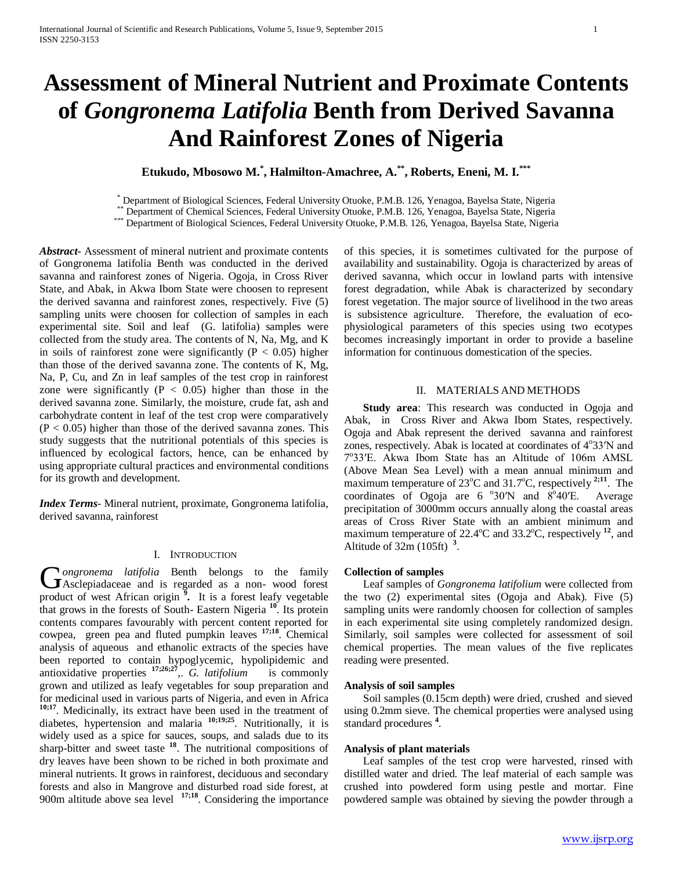# **Assessment of Mineral Nutrient and Proximate Contents of** *Gongronema Latifolia* **Benth from Derived Savanna And Rainforest Zones of Nigeria**

**Etukudo, Mbosowo M.\* , Halmilton-Amachree, A.\*\*, Roberts, Eneni, M. I.\*\*\***

\* Department of Biological Sciences, Federal University Otuoke, P.M.B. 126, Yenagoa, Bayelsa State, Nigeria<br>\*\* Department of Chemical Sciences, Federal University Otuoke, P.M.B. 126, Yenagoa, Bayelsa State, Nigeria<br>\*\*\* Dep

*Abstract***-** Assessment of mineral nutrient and proximate contents of Gongronema latifolia Benth was conducted in the derived savanna and rainforest zones of Nigeria. Ogoja, in Cross River State, and Abak, in Akwa Ibom State were choosen to represent the derived savanna and rainforest zones, respectively. Five (5) sampling units were choosen for collection of samples in each experimental site. Soil and leaf (G. latifolia) samples were collected from the study area. The contents of N, Na, Mg, and K in soils of rainforest zone were significantly ( $P < 0.05$ ) higher than those of the derived savanna zone. The contents of K, Mg, Na, P, Cu, and Zn in leaf samples of the test crop in rainforest zone were significantly ( $P < 0.05$ ) higher than those in the derived savanna zone. Similarly, the moisture, crude fat, ash and carbohydrate content in leaf of the test crop were comparatively  $(P < 0.05)$  higher than those of the derived savanna zones. This study suggests that the nutritional potentials of this species is influenced by ecological factors, hence, can be enhanced by using appropriate cultural practices and environmental conditions for its growth and development.

*Index Terms*- Mineral nutrient, proximate, Gongronema latifolia, derived savanna, rainforest

### I. INTRODUCTION

*ongronema latifolia* Benth belongs to the family  $\sum$ ongronema latifolia Benth belongs to the family Asclepiadaceae and is regarded as a non-wood forest product of west African origin **<sup>9</sup> .** It is a forest leafy vegetable that grows in the forests of South- Eastern Nigeria **<sup>10</sup>**. Its protein contents compares favourably with percent content reported for cowpea, green pea and fluted pumpkin leaves **17;18**. Chemical analysis of aqueous and ethanolic extracts of the species have been reported to contain hypoglycemic, hypolipidemic and antioxidative properties **17;26;27**,. *G. latifolium* is commonly grown and utilized as leafy vegetables for soup preparation and for medicinal used in various parts of Nigeria, and even in Africa **10;17**. Medicinally, its extract have been used in the treatment of diabetes, hypertension and malaria **10;19;25**. Nutritionally, it is widely used as a spice for sauces, soups, and salads due to its sharp-bitter and sweet taste<sup>18</sup>. The nutritional compositions of dry leaves have been shown to be riched in both proximate and mineral nutrients. It grows in rainforest, deciduous and secondary forests and also in Mangrove and disturbed road side forest, at 900m altitude above sea level **17;18**. Considering the importance of this species, it is sometimes cultivated for the purpose of availability and sustainability. Ogoja is characterized by areas of derived savanna, which occur in lowland parts with intensive forest degradation, while Abak is characterized by secondary forest vegetation. The major source of livelihood in the two areas is subsistence agriculture. Therefore, the evaluation of ecophysiological parameters of this species using two ecotypes becomes increasingly important in order to provide a baseline information for continuous domestication of the species.

# II. MATERIALS AND METHODS

**Study area:** This research was conducted in Ogoja and Abak, in Cross River and Akwa Ibom States, respectively. Ogoja and Abak represent the derived savanna and rainforest zones, respectively. Abak is located at coordinates of 4°33'N and 7°33'E. Akwa Ibom State has an Altitude of 106m AMSL (Above Mean Sea Level) with a mean annual minimum and maximum temperature of 23<sup>o</sup>C and 31.7<sup>o</sup>C, respectively <sup>2;11</sup>. The coordinates of Ogoja are  $6\degree 30'N$  and  $8\degree$ Average precipitation of 3000mm occurs annually along the coastal areas areas of Cross River State with an ambient minimum and maximum temperature of 22.4°C and 33.2°C, respectively <sup>12</sup>, and Altitude of 32m (105ft) **<sup>3</sup>** .

## **Collection of samples**

Leaf samples of *Gongronema latifolium* were collected from the two (2) experimental sites (Ogoja and Abak). Five (5) sampling units were randomly choosen for collection of samples in each experimental site using completely randomized design. Similarly, soil samples were collected for assessment of soil chemical properties. The mean values of the five replicates reading were presented.

### **Analysis of soil samples**

Soil samples (0.15cm depth) were dried, crushed and sieved using 0.2mm sieve. The chemical properties were analysed using standard procedures **<sup>4</sup>** .

## **Analysis of plant materials**

Leaf samples of the test crop were harvested, rinsed with distilled water and dried. The leaf material of each sample was crushed into powdered form using pestle and mortar. Fine powdered sample was obtained by sieving the powder through a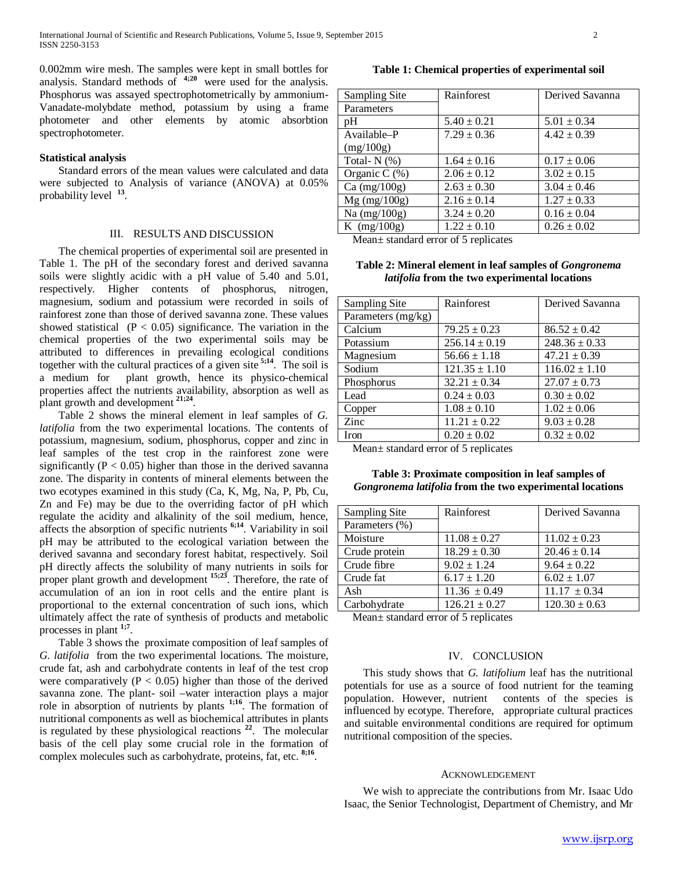0.002mm wire mesh. The samples were kept in small bottles for analysis. Standard methods of  $4;20$  were used for the analysis. Phosphorus was assayed spectrophotometrically by ammonium-Vanadate-molybdate method, potassium by using a frame photometer and other elements by atomic absorbtion spectrophotometer.

#### **Statistical analysis**

Standard errors of the mean values were calculated and data were subjected to Analysis of variance (ANOVA) at 0.05% probability level **<sup>13</sup>**.

### III. RESULTS AND DISCUSSION

The chemical properties of experimental soil are presented in Table 1. The pH of the secondary forest and derived savanna soils were slightly acidic with a pH value of 5.40 and 5.01, respectively. Higher contents of phosphorus, nitrogen, magnesium, sodium and potassium were recorded in soils of rainforest zone than those of derived savanna zone. These values showed statistical  $(P < 0.05)$  significance. The variation in the chemical properties of the two experimental soils may be attributed to differences in prevailing ecological conditions together with the cultural practices of a given site  $5,14$ . The soil is a medium for plant growth, hence its physico-chemical properties affect the nutrients availability, absorption as well as plant growth and development **21;24**.

Table 2 shows the mineral element in leaf samples of *G. latifolia* from the two experimental locations. The contents of potassium, magnesium, sodium, phosphorus, copper and zinc in leaf samples of the test crop in the rainforest zone were significantly ( $P < 0.05$ ) higher than those in the derived savanna zone. The disparity in contents of mineral elements between the two ecotypes examined in this study (Ca, K, Mg, Na, P, Pb, Cu, Zn and Fe) may be due to the overriding factor of pH which regulate the acidity and alkalinity of the soil medium, hence, affects the absorption of specific nutrients **6;14**. Variability in soil pH may be attributed to the ecological variation between the derived savanna and secondary forest habitat, respectively. Soil pH directly affects the solubility of many nutrients in soils for proper plant growth and development **15;23**. Therefore, the rate of accumulation of an ion in root cells and the entire plant is proportional to the external concentration of such ions, which ultimately affect the rate of synthesis of products and metabolic processes in plant **1;7**.

Table 3 shows the proximate composition of leaf samples of *G. latifolia* from the two experimental locations. The moisture, crude fat, ash and carbohydrate contents in leaf of the test crop were comparatively ( $P < 0.05$ ) higher than those of the derived savanna zone. The plant- soil –water interaction plays a major role in absorption of nutrients by plants **1;16**. The formation of nutritional components as well as biochemical attributes in plants is regulated by these physiological reactions **<sup>22</sup>**. The molecular basis of the cell play some crucial role in the formation of complex molecules such as carbohydrate, proteins, fat, etc. **8;16**.

# **Table 1: Chemical properties of experimental soil**

| Sampling Site  | Rainforest      | Derived Savanna |
|----------------|-----------------|-----------------|
| Parameters     |                 |                 |
| pH             | $5.40 \pm 0.21$ | $5.01 \pm 0.34$ |
| Available-P    | $7.29 \pm 0.36$ | $4.42 \pm 0.39$ |
| (mg/100g)      |                 |                 |
| Total- $N$ (%) | $1.64 \pm 0.16$ | $0.17 \pm 0.06$ |
| Organic C (%)  | $2.06 \pm 0.12$ | $3.02 \pm 0.15$ |
| Ca $(mg/100g)$ | $2.63 \pm 0.30$ | $3.04 \pm 0.46$ |
| $Mg$ (mg/100g) | $2.16 \pm 0.14$ | $1.27 \pm 0.33$ |
| Na $(mg/100g)$ | $3.24 \pm 0.20$ | $0.16 \pm 0.04$ |
| K $(mg/100g)$  | $1.22 \pm 0.10$ | $0.26 \pm 0.02$ |
|                |                 |                 |

Mean± standard error of 5 replicates

**Table 2: Mineral element in leaf samples of** *Gongronema latifolia* **from the two experimental locations**

| Sampling Site      | Rainforest        | Derived Savanna   |
|--------------------|-------------------|-------------------|
| Parameters (mg/kg) |                   |                   |
| Calcium            | $79.25 \pm 0.23$  | $86.52 \pm 0.42$  |
| Potassium          | $256.14 \pm 0.19$ | $248.36 \pm 0.33$ |
| Magnesium          | $56.66 \pm 1.18$  | $47.21 \pm 0.39$  |
| Sodium             | $121.35 \pm 1.10$ | $116.02 \pm 1.10$ |
| Phosphorus         | $32.21 \pm 0.34$  | $27.07 \pm 0.73$  |
| Lead               | $0.24 \pm 0.03$   | $0.30 \pm 0.02$   |
| Copper             | $1.08 \pm 0.10$   | $1.02 \pm 0.06$   |
| Zinc               | $11.21 \pm 0.22$  | $9.03 \pm 0.28$   |
| Iron               | $0.20 \pm 0.02$   | $0.32 \pm 0.02$   |

Mean± standard error of 5 replicates

### **Table 3: Proximate composition in leaf samples of**  *Gongronema latifolia* **from the two experimental locations**

| Sampling Site  | Rainforest        | Derived Savanna   |
|----------------|-------------------|-------------------|
| Parameters (%) |                   |                   |
| Moisture       | $11.08 \pm 0.27$  | $11.02 \pm 0.23$  |
| Crude protein  | $18.29 \pm 0.30$  | $20.46 \pm 0.14$  |
| Crude fibre    | $9.02 \pm 1.24$   | $9.64 \pm 0.22$   |
| Crude fat      | $6.17 \pm 1.20$   | $6.02 \pm 1.07$   |
| Ash            | $11.36 \pm 0.49$  | $11.17 \pm 0.34$  |
| Carbohydrate   | $126.21 \pm 0.27$ | $120.30 \pm 0.63$ |

Mean± standard error of 5 replicates

#### IV. CONCLUSION

This study shows that *G. latifolium* leaf has the nutritional potentials for use as a source of food nutrient for the teaming population. However, nutrient contents of the species is influenced by ecotype. Therefore, appropriate cultural practices and suitable environmental conditions are required for optimum nutritional composition of the species.

#### ACKNOWLEDGEMENT

We wish to appreciate the contributions from Mr. Isaac Udo Isaac, the Senior Technologist, Department of Chemistry, and Mr